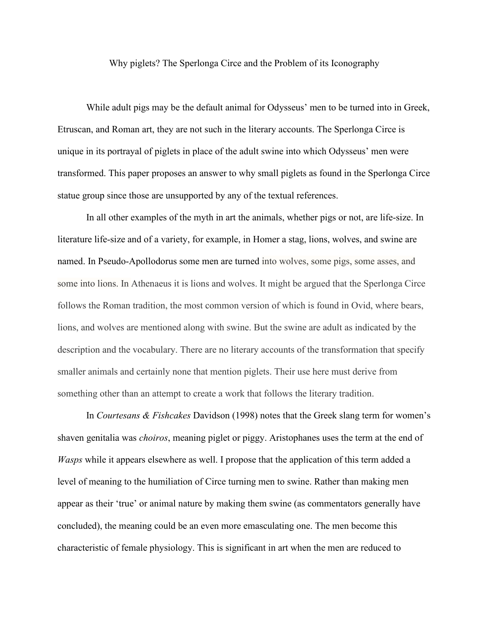Why piglets? The Sperlonga Circe and the Problem of its Iconography

While adult pigs may be the default animal for Odysseus' men to be turned into in Greek, Etruscan, and Roman art, they are not such in the literary accounts. The Sperlonga Circe is unique in its portrayal of piglets in place of the adult swine into which Odysseus' men were transformed. This paper proposes an answer to why small piglets as found in the Sperlonga Circe statue group since those are unsupported by any of the textual references.

In all other examples of the myth in art the animals, whether pigs or not, are life-size. In literature life-size and of a variety, for example, in Homer a stag, lions, wolves, and swine are named. In Pseudo-Apollodorus some men are turned into wolves, some pigs, some asses, and some into lions. In Athenaeus it is lions and wolves. It might be argued that the Sperlonga Circe follows the Roman tradition, the most common version of which is found in Ovid, where bears, lions, and wolves are mentioned along with swine. But the swine are adult as indicated by the description and the vocabulary. There are no literary accounts of the transformation that specify smaller animals and certainly none that mention piglets. Their use here must derive from something other than an attempt to create a work that follows the literary tradition.

In *Courtesans & Fishcakes* Davidson (1998) notes that the Greek slang term for women's shaven genitalia was *choiros*, meaning piglet or piggy. Aristophanes uses the term at the end of *Wasps* while it appears elsewhere as well. I propose that the application of this term added a level of meaning to the humiliation of Circe turning men to swine. Rather than making men appear as their 'true' or animal nature by making them swine (as commentators generally have concluded), the meaning could be an even more emasculating one. The men become this characteristic of female physiology. This is significant in art when the men are reduced to